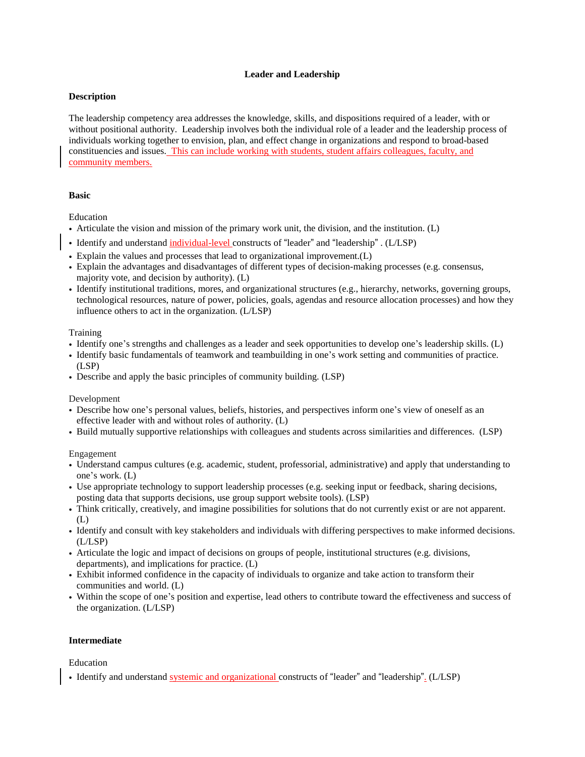# **Leader and Leadership**

## **Description**

The leadership competency area addresses the knowledge, skills, and dispositions required of a leader, with or without positional authority. Leadership involves both the individual role of a leader and the leadership process of individuals working together to envision, plan, and effect change in organizations and respond to broad-based constituencies and issues. This can include working with students, student affairs colleagues, faculty, and community members.

## **Basic**

Education

- Articulate the vision and mission of the primary work unit, the division, and the institution. (L)
- Identify and understand individual-level constructs of "leader" and "leadership" . (L/LSP)
- Explain the values and processes that lead to organizational improvement.(L)
- Explain the advantages and disadvantages of different types of decision-making processes (e.g. consensus, majority vote, and decision by authority). (L)
- Identify institutional traditions, mores, and organizational structures (e.g., hierarchy, networks, governing groups, technological resources, nature of power, policies, goals, agendas and resource allocation processes) and how they influence others to act in the organization. (L/LSP)

### **Training**

- Identify one's strengths and challenges as a leader and seek opportunities to develop one's leadership skills. (L)
- Identify basic fundamentals of teamwork and teambuilding in one's work setting and communities of practice. (LSP)
- Describe and apply the basic principles of community building. (LSP)

Development

- Describe how one's personal values, beliefs, histories, and perspectives inform one's view of oneself as an effective leader with and without roles of authority. (L)
- Build mutually supportive relationships with colleagues and students across similarities and differences. (LSP)

Engagement

- Understand campus cultures (e.g. academic, student, professorial, administrative) and apply that understanding to one's work. (L)
- Use appropriate technology to support leadership processes (e.g. seeking input or feedback, sharing decisions, posting data that supports decisions, use group support website tools). (LSP)
- Think critically, creatively, and imagine possibilities for solutions that do not currently exist or are not apparent. (L)
- Identify and consult with key stakeholders and individuals with differing perspectives to make informed decisions. (L/LSP)
- Articulate the logic and impact of decisions on groups of people, institutional structures (e.g. divisions, departments), and implications for practice. (L)
- Exhibit informed confidence in the capacity of individuals to organize and take action to transform their communities and world. (L)
- Within the scope of one's position and expertise, lead others to contribute toward the effectiveness and success of the organization. (L/LSP)

# **Intermediate**

# Education

• Identify and understand systemic and organizational constructs of "leader" and "leadership". (L/LSP)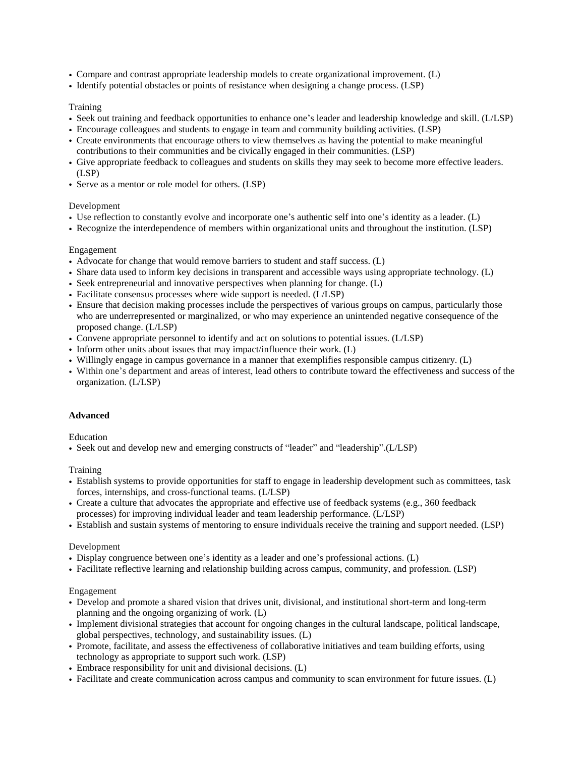- Compare and contrast appropriate leadership models to create organizational improvement. (L)
- Identify potential obstacles or points of resistance when designing a change process. (LSP)

### **Training**

- Seek out training and feedback opportunities to enhance one's leader and leadership knowledge and skill. (L/LSP)
- Encourage colleagues and students to engage in team and community building activities. (LSP)
- Create environments that encourage others to view themselves as having the potential to make meaningful contributions to their communities and be civically engaged in their communities. (LSP)
- Give appropriate feedback to colleagues and students on skills they may seek to become more effective leaders. (LSP)
- Serve as a mentor or role model for others. (LSP)

## Development

- Use reflection to constantly evolve and incorporate one's authentic self into one's identity as a leader. (L)
- Recognize the interdependence of members within organizational units and throughout the institution. (LSP)

### Engagement

- Advocate for change that would remove barriers to student and staff success. (L)
- Share data used to inform key decisions in transparent and accessible ways using appropriate technology. (L)
- Seek entrepreneurial and innovative perspectives when planning for change. (L)
- Facilitate consensus processes where wide support is needed. (L/LSP)
- Ensure that decision making processes include the perspectives of various groups on campus, particularly those who are underrepresented or marginalized, or who may experience an unintended negative consequence of the proposed change. (L/LSP)
- Convene appropriate personnel to identify and act on solutions to potential issues. (L/LSP)
- Inform other units about issues that may impact/influence their work. (L)
- Willingly engage in campus governance in a manner that exemplifies responsible campus citizenry. (L)
- Within one's department and areas of interest, lead others to contribute toward the effectiveness and success of the organization. (L/LSP)

# **Advanced**

Education

• Seek out and develop new and emerging constructs of "leader" and "leadership".(L/LSP)

### Training

- Establish systems to provide opportunities for staff to engage in leadership development such as committees, task forces, internships, and cross-functional teams. (L/LSP)
- Create a culture that advocates the appropriate and effective use of feedback systems (e.g., 360 feedback processes) for improving individual leader and team leadership performance. (L/LSP)
- Establish and sustain systems of mentoring to ensure individuals receive the training and support needed. (LSP)

### Development

- Display congruence between one's identity as a leader and one's professional actions. (L)
- Facilitate reflective learning and relationship building across campus, community, and profession. (LSP)

#### Engagement

- Develop and promote a shared vision that drives unit, divisional, and institutional short-term and long-term planning and the ongoing organizing of work. (L)
- Implement divisional strategies that account for ongoing changes in the cultural landscape, political landscape, global perspectives, technology, and sustainability issues. (L)
- Promote, facilitate, and assess the effectiveness of collaborative initiatives and team building efforts, using technology as appropriate to support such work. (LSP)
- Embrace responsibility for unit and divisional decisions. (L)
- Facilitate and create communication across campus and community to scan environment for future issues. (L)